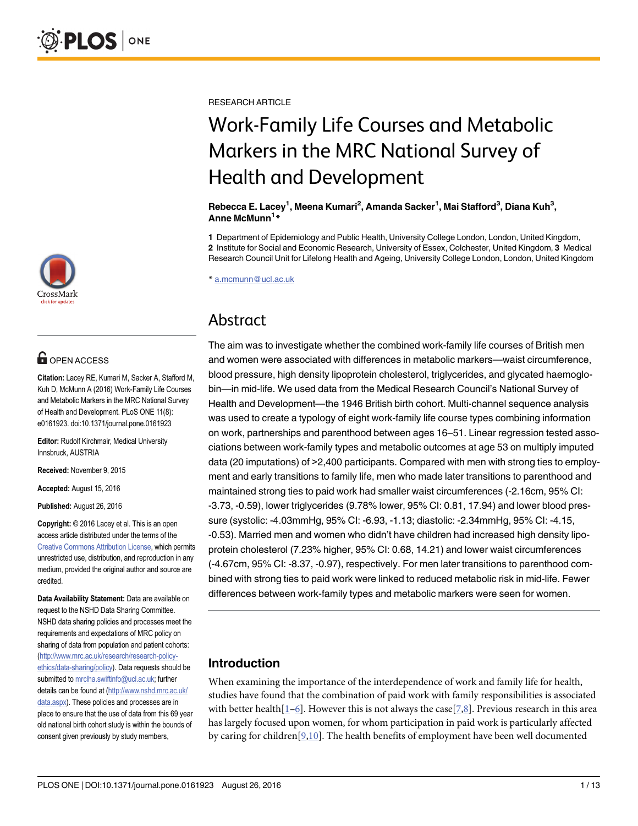

# **OPEN ACCESS**

Citation: Lacey RE, Kumari M, Sacker A, Stafford M, Kuh D, McMunn A (2016) Work-Family Life Courses and Metabolic Markers in the MRC National Survey of Health and Development. PLoS ONE 11(8): e0161923. doi:10.1371/journal.pone.0161923

Editor: Rudolf Kirchmair, Medical University Innsbruck, AUSTRIA

Received: November 9, 2015

Accepted: August 15, 2016

Published: August 26, 2016

Copyright: © 2016 Lacey et al. This is an open access article distributed under the terms of the [Creative Commons Attribution License,](http://creativecommons.org/licenses/by/4.0/) which permits unrestricted use, distribution, and reproduction in any medium, provided the original author and source are credited.

Data Availability Statement: Data are available on request to the NSHD Data Sharing Committee. NSHD data sharing policies and processes meet the requirements and expectations of MRC policy on sharing of data from population and patient cohorts: [\(http://www.mrc.ac.uk/research/research-policy](http://www.mrc.ac.uk/research/research-policy-ethics/data-sharing/policy)[ethics/data-sharing/policy\)](http://www.mrc.ac.uk/research/research-policy-ethics/data-sharing/policy). Data requests should be submitted to mrclha.swiftinfo@ucl.ac.uk; further details can be found at ([http://www.nshd.mrc.ac.uk/](http://www.nshd.mrc.ac.uk/data.aspx) [data.aspx\)](http://www.nshd.mrc.ac.uk/data.aspx). These policies and processes are in place to ensure that the use of data from this 69 year old national birth cohort study is within the bounds of consent given previously by study members,

<span id="page-0-0"></span>RESEARCH ARTICLE

# Work-Family Life Courses and Metabolic Markers in the MRC National Survey of Health and Development

#### Rebecca E. Lacey<sup>1</sup>, Meena Kumari<sup>2</sup>, Amanda Sacker<sup>1</sup>, Mai Stafford<sup>3</sup>, Diana Kuh<sup>3</sup>, Anne McMunn<sup>1</sup>\*

1 Department of Epidemiology and Public Health, University College London, London, United Kingdom, 2 Institute for Social and Economic Research, University of Essex, Colchester, United Kingdom, 3 Medical Research Council Unit for Lifelong Health and Ageing, University College London, London, United Kingdom

\* a.mcmunn@ucl.ac.uk

# Abstract

The aim was to investigate whether the combined work-family life courses of British men and women were associated with differences in metabolic markers—waist circumference, blood pressure, high density lipoprotein cholesterol, triglycerides, and glycated haemoglobin—in mid-life. We used data from the Medical Research Council's National Survey of Health and Development—the 1946 British birth cohort. Multi-channel sequence analysis was used to create a typology of eight work-family life course types combining information on work, partnerships and parenthood between ages 16–51. Linear regression tested associations between work-family types and metabolic outcomes at age 53 on multiply imputed data (20 imputations) of >2,400 participants. Compared with men with strong ties to employment and early transitions to family life, men who made later transitions to parenthood and maintained strong ties to paid work had smaller waist circumferences (-2.16cm, 95% CI: -3.73, -0.59), lower triglycerides (9.78% lower, 95% CI: 0.81, 17.94) and lower blood pressure (systolic: -4.03mmHg, 95% CI: -6.93, -1.13; diastolic: -2.34mmHg, 95% CI: -4.15, -0.53). Married men and women who didn't have children had increased high density lipoprotein cholesterol (7.23% higher, 95% CI: 0.68, 14.21) and lower waist circumferences (-4.67cm, 95% CI: -8.37, -0.97), respectively. For men later transitions to parenthood combined with strong ties to paid work were linked to reduced metabolic risk in mid-life. Fewer differences between work-family types and metabolic markers were seen for women.

# Introduction

When examining the importance of the interdependence of work and family life for health, studies have found that the combination of paid work with family responsibilities is associated with better health $[1-6]$  $[1-6]$  $[1-6]$ . However this is not always the case  $[7,8]$  $[7,8]$ . Previous research in this area has largely focused upon women, for whom participation in paid work is particularly affected by caring for children $[9,10]$ . The health benefits of employment have been well documented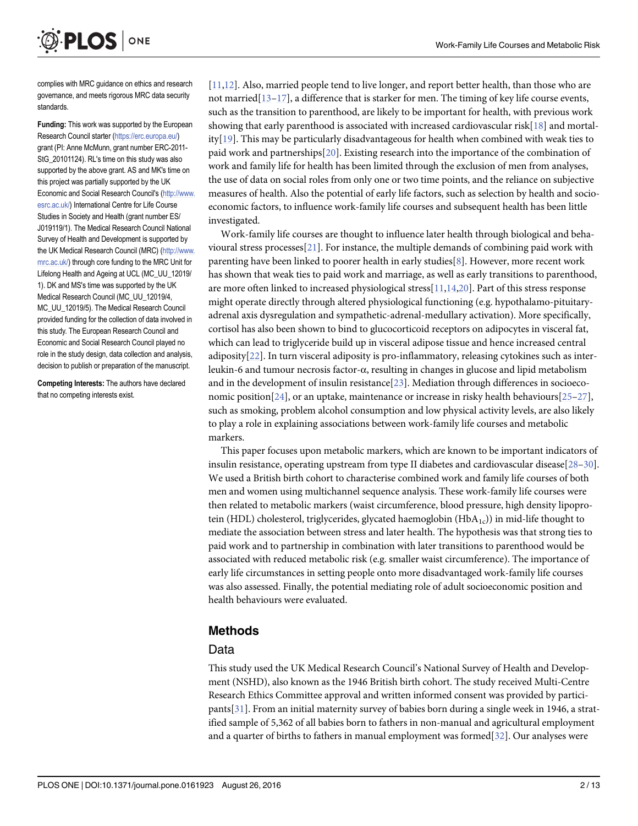<span id="page-1-0"></span>

complies with MRC guidance on ethics and research governance, and meets rigorous MRC data security standards.

Funding: This work was supported by the European Research Council starter [\(https://erc.europa.eu/](https://erc.europa.eu/)) grant (PI: Anne McMunn, grant number ERC-2011- StG\_20101124). RL's time on this study was also supported by the above grant. AS and MK's time on this project was partially supported by the UK Economic and Social Research Council's [\(http://www.](http://www.esrc.ac.uk/) [esrc.ac.uk/\)](http://www.esrc.ac.uk/) International Centre for Life Course Studies in Society and Health (grant number ES/ J019119/1). The Medical Research Council National Survey of Health and Development is supported by the UK Medical Research Council (MRC) [\(http://www.](http://www.mrc.ac.uk/) [mrc.ac.uk/](http://www.mrc.ac.uk/)) through core funding to the MRC Unit for Lifelong Health and Ageing at UCL (MC\_UU\_12019/ 1). DK and MS's time was supported by the UK Medical Research Council (MC\_UU\_12019/4, MC\_UU\_12019/5). The Medical Research Council provided funding for the collection of data involved in this study. The European Research Council and Economic and Social Research Council played no role in the study design, data collection and analysis, decision to publish or preparation of the manuscript.

Competing Interests: The authors have declared that no competing interests exist.

[\[11,12\]](#page-10-0). Also, married people tend to live longer, and report better health, than those who are not married $[13-17]$  $[13-17]$  $[13-17]$  $[13-17]$  $[13-17]$ , a difference that is starker for men. The timing of key life course events, such as the transition to parenthood, are likely to be important for health, with previous work showing that early parenthood is associated with increased cardiovascular risk[\[18\]](#page-10-0) and mortal-ity[[19](#page-10-0)]. This may be particularly disadvantageous for health when combined with weak ties to paid work and partnerships[[20](#page-11-0)]. Existing research into the importance of the combination of work and family life for health has been limited through the exclusion of men from analyses, the use of data on social roles from only one or two time points, and the reliance on subjective measures of health. Also the potential of early life factors, such as selection by health and socioeconomic factors, to influence work-family life courses and subsequent health has been little investigated.

Work-family life courses are thought to influence later health through biological and beha-vioural stress processes[[21](#page-11-0)]. For instance, the multiple demands of combining paid work with parenting have been linked to poorer health in early studies[[8\]](#page-10-0). However, more recent work has shown that weak ties to paid work and marriage, as well as early transitions to parenthood, are more often linked to increased physiological stress[[11](#page-10-0),[14](#page-10-0)[,20\]](#page-11-0). Part of this stress response might operate directly through altered physiological functioning (e.g. hypothalamo-pituitaryadrenal axis dysregulation and sympathetic-adrenal-medullary activation). More specifically, cortisol has also been shown to bind to glucocorticoid receptors on adipocytes in visceral fat, which can lead to triglyceride build up in visceral adipose tissue and hence increased central adiposity[[22](#page-11-0)]. In turn visceral adiposity is pro-inflammatory, releasing cytokines such as interleukin-6 and tumour necrosis factor-α, resulting in changes in glucose and lipid metabolism and in the development of insulin resistance[[23\]](#page-11-0). Mediation through differences in socioeco-nomic position[[24](#page-11-0)], or an uptake, maintenance or increase in risky health behaviours[[25](#page-11-0)–[27\]](#page-11-0), such as smoking, problem alcohol consumption and low physical activity levels, are also likely to play a role in explaining associations between work-family life courses and metabolic markers.

This paper focuses upon metabolic markers, which are known to be important indicators of insulin resistance, operating upstream from type II diabetes and cardiovascular disease[\[28](#page-11-0)–[30\]](#page-11-0). We used a British birth cohort to characterise combined work and family life courses of both men and women using multichannel sequence analysis. These work-family life courses were then related to metabolic markers (waist circumference, blood pressure, high density lipoprotein (HDL) cholesterol, triglycerides, glycated haemoglobin  $(HbA_{1c})$  in mid-life thought to mediate the association between stress and later health. The hypothesis was that strong ties to paid work and to partnership in combination with later transitions to parenthood would be associated with reduced metabolic risk (e.g. smaller waist circumference). The importance of early life circumstances in setting people onto more disadvantaged work-family life courses was also assessed. Finally, the potential mediating role of adult socioeconomic position and health behaviours were evaluated.

# Methods

#### Data

This study used the UK Medical Research Council's National Survey of Health and Development (NSHD), also known as the 1946 British birth cohort. The study received Multi-Centre Research Ethics Committee approval and written informed consent was provided by participants[\[31\]](#page-11-0). From an initial maternity survey of babies born during a single week in 1946, a stratified sample of 5,362 of all babies born to fathers in non-manual and agricultural employment and a quarter of births to fathers in manual employment was formed[[32](#page-11-0)]. Our analyses were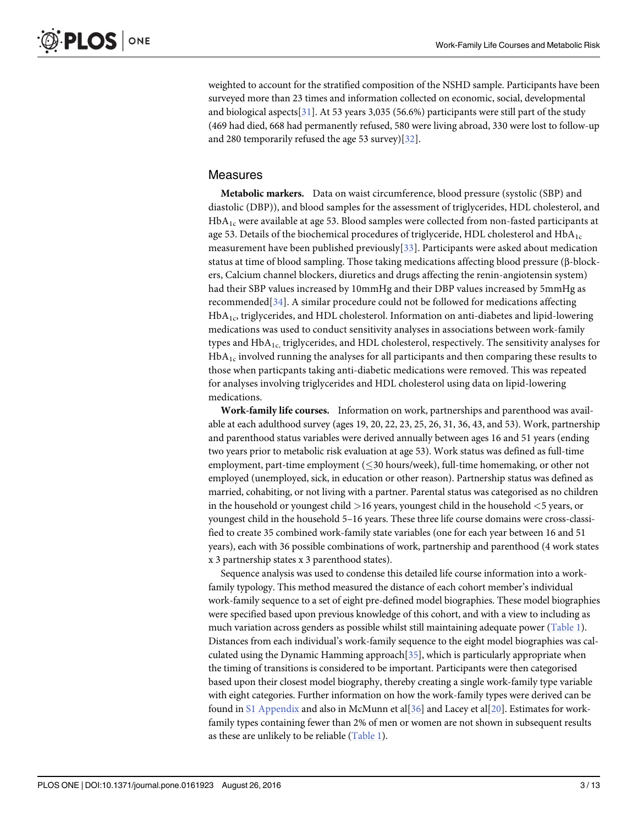<span id="page-2-0"></span>weighted to account for the stratified composition of the NSHD sample. Participants have been surveyed more than 23 times and information collected on economic, social, developmental and biological aspects[ $31$ ]. At 53 years 3,035 (56.6%) participants were still part of the study (469 had died, 668 had permanently refused, 580 were living abroad, 330 were lost to follow-up and 280 temporarily refused the age 53 survey)[[32](#page-11-0)].

#### Measures

Metabolic markers. Data on waist circumference, blood pressure (systolic (SBP) and diastolic (DBP)), and blood samples for the assessment of triglycerides, HDL cholesterol, and  $HbA<sub>1c</sub>$  were available at age 53. Blood samples were collected from non-fasted participants at age 53. Details of the biochemical procedures of triglyceride, HDL cholesterol and  $HbA_{1c}$ measurement have been published previously[[33](#page-11-0)]. Participants were asked about medication status at time of blood sampling. Those taking medications affecting blood pressure (β-blockers, Calcium channel blockers, diuretics and drugs affecting the renin-angiotensin system) had their SBP values increased by 10mmHg and their DBP values increased by 5mmHg as recommended[[34\]](#page-11-0). A similar procedure could not be followed for medications affecting HbA1c, triglycerides, and HDL cholesterol. Information on anti-diabetes and lipid-lowering medications was used to conduct sensitivity analyses in associations between work-family types and  $HbA_{1c}$ , triglycerides, and HDL cholesterol, respectively. The sensitivity analyses for  $HbA<sub>1c</sub>$  involved running the analyses for all participants and then comparing these results to those when particpants taking anti-diabetic medications were removed. This was repeated for analyses involving triglycerides and HDL cholesterol using data on lipid-lowering medications.

Work-family life courses. Information on work, partnerships and parenthood was available at each adulthood survey (ages 19, 20, 22, 23, 25, 26, 31, 36, 43, and 53). Work, partnership and parenthood status variables were derived annually between ages 16 and 51 years (ending two years prior to metabolic risk evaluation at age 53). Work status was defined as full-time employment, part-time employment  $(\leq 30$  hours/week), full-time homemaking, or other not employed (unemployed, sick, in education or other reason). Partnership status was defined as married, cohabiting, or not living with a partner. Parental status was categorised as no children in the household or youngest child >16 years, youngest child in the household <5 years, or youngest child in the household 5–16 years. These three life course domains were cross-classified to create 35 combined work-family state variables (one for each year between 16 and 51 years), each with 36 possible combinations of work, partnership and parenthood (4 work states x 3 partnership states x 3 parenthood states).

Sequence analysis was used to condense this detailed life course information into a workfamily typology. This method measured the distance of each cohort member's individual work-family sequence to a set of eight pre-defined model biographies. These model biographies were specified based upon previous knowledge of this cohort, and with a view to including as much variation across genders as possible whilst still maintaining adequate power ([Table 1\)](#page-3-0). Distances from each individual's work-family sequence to the eight model biographies was calculated using the Dynamic Hamming approach  $[35]$  $[35]$  $[35]$ , which is particularly appropriate when the timing of transitions is considered to be important. Participants were then categorised based upon their closest model biography, thereby creating a single work-family type variable with eight categories. Further information on how the work-family types were derived can be found in  $SI$  Appendix and also in McMunn et al $[36]$  $[36]$  $[36]$  and Lacey et al $[20]$  $[20]$  $[20]$ . Estimates for workfamily types containing fewer than 2% of men or women are not shown in subsequent results as these are unlikely to be reliable  $(Table 1)$ .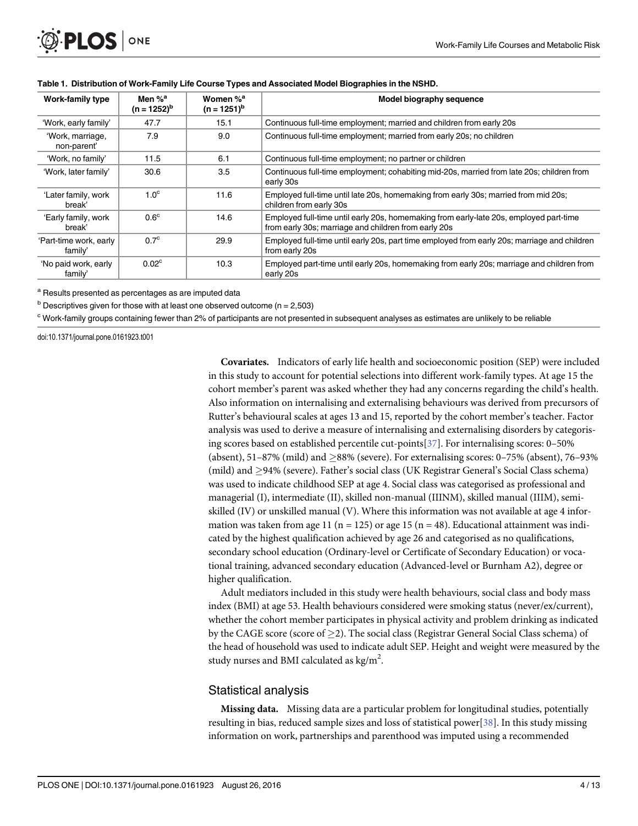<span id="page-3-0"></span>

| Work-family type                  | Men % <sup>a</sup><br>$(n = 1252)^{b}$ | Women % <sup>a</sup><br>$(n = 1251)^{b}$ | Model biography sequence                                                                                                                       |
|-----------------------------------|----------------------------------------|------------------------------------------|------------------------------------------------------------------------------------------------------------------------------------------------|
| 'Work, early family'              | 47.7                                   | 15.1                                     | Continuous full-time employment; married and children from early 20s                                                                           |
| 'Work, marriage,<br>non-parent'   | 7.9                                    | 9.0                                      | Continuous full-time employment; married from early 20s; no children                                                                           |
| 'Work, no family'                 | 11.5                                   | 6.1                                      | Continuous full-time employment; no partner or children                                                                                        |
| 'Work, later family'              | 30.6                                   | 3.5                                      | Continuous full-time employment; cohabiting mid-20s, married from late 20s; children from<br>early 30s                                         |
| 'Later family, work<br>break'     | 1.0 <sup>c</sup>                       | 11.6                                     | Employed full-time until late 20s, homemaking from early 30s; married from mid 20s;<br>children from early 30s                                 |
| 'Early family, work<br>break'     | 0.6 <sup>c</sup>                       | 14.6                                     | Employed full-time until early 20s, homemaking from early-late 20s, employed part-time<br>from early 30s; marriage and children from early 20s |
| 'Part-time work, early<br>family' | 0.7 <sup>c</sup>                       | 29.9                                     | Employed full-time until early 20s, part time employed from early 20s; marriage and children<br>from early 20s                                 |
| 'No paid work, early<br>family'   | 0.02 <sup>c</sup>                      | 10.3                                     | Employed part-time until early 20s, homemaking from early 20s; marriage and children from<br>early 20s                                         |

#### [Table 1.](#page-2-0) Distribution of Work-Family Life Course Types and Associated Model Biographies in the NSHD.

<sup>a</sup> Results presented as percentages as are imputed data

 $b$  Descriptives given for those with at least one observed outcome (n = 2,503)

<sup>c</sup> Work-family groups containing fewer than 2% of participants are not presented in subsequent analyses as estimates are unlikely to be reliable

doi:10.1371/journal.pone.0161923.t001

Covariates. Indicators of early life health and socioeconomic position (SEP) were included in this study to account for potential selections into different work-family types. At age 15 the cohort member's parent was asked whether they had any concerns regarding the child's health. Also information on internalising and externalising behaviours was derived from precursors of Rutter's behavioural scales at ages 13 and 15, reported by the cohort member's teacher. Factor analysis was used to derive a measure of internalising and externalising disorders by categorising scores based on established percentile cut-points[\[37\]](#page-11-0). For internalising scores: 0–50% (absent),  $51-87\%$  (mild) and  $\geq 88\%$  (severe). For externalising scores: 0–75% (absent), 76–93% (mild) and 94% (severe). Father's social class (UK Registrar General's Social Class schema) was used to indicate childhood SEP at age 4. Social class was categorised as professional and managerial (I), intermediate (II), skilled non-manual (IIINM), skilled manual (IIIM), semiskilled (IV) or unskilled manual (V). Where this information was not available at age 4 information was taken from age 11 ( $n = 125$ ) or age 15 ( $n = 48$ ). Educational attainment was indicated by the highest qualification achieved by age 26 and categorised as no qualifications, secondary school education (Ordinary-level or Certificate of Secondary Education) or vocational training, advanced secondary education (Advanced-level or Burnham A2), degree or higher qualification.

Adult mediators included in this study were health behaviours, social class and body mass index (BMI) at age 53. Health behaviours considered were smoking status (never/ex/current), whether the cohort member participates in physical activity and problem drinking as indicated by the CAGE score (score of  $>$ 2). The social class (Registrar General Social Class schema) of the head of household was used to indicate adult SEP. Height and weight were measured by the study nurses and BMI calculated as  $\text{kg/m}^2$ .

# Statistical analysis

Missing data. Missing data are a particular problem for longitudinal studies, potentially resulting in bias, reduced sample sizes and loss of statistical power[[38](#page-11-0)]. In this study missing information on work, partnerships and parenthood was imputed using a recommended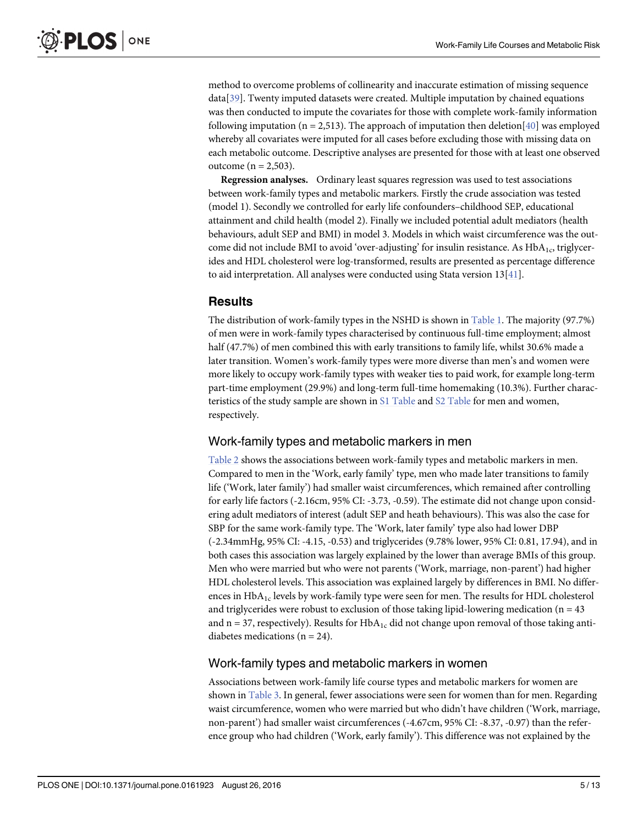<span id="page-4-0"></span>method to overcome problems of collinearity and inaccurate estimation of missing sequence data[\[39](#page-11-0)]. Twenty imputed datasets were created. Multiple imputation by chained equations was then conducted to impute the covariates for those with complete work-family information following imputation (n = 2,513). The approach of imputation then deletion[ $40$ ] was employed whereby all covariates were imputed for all cases before excluding those with missing data on each metabolic outcome. Descriptive analyses are presented for those with at least one observed outcome ( $n = 2,503$ ).

Regression analyses. Ordinary least squares regression was used to test associations between work-family types and metabolic markers. Firstly the crude association was tested (model 1). Secondly we controlled for early life confounders–childhood SEP, educational attainment and child health (model 2). Finally we included potential adult mediators (health behaviours, adult SEP and BMI) in model 3. Models in which waist circumference was the outcome did not include BMI to avoid 'over-adjusting' for insulin resistance. As  $HbA<sub>1c</sub>$ , triglycerides and HDL cholesterol were log-transformed, results are presented as percentage difference to aid interpretation. All analyses were conducted using Stata version 13[[41](#page-11-0)].

# **Results**

The distribution of work-family types in the NSHD is shown in [Table 1.](#page-3-0) The majority (97.7%) of men were in work-family types characterised by continuous full-time employment; almost half (47.7%) of men combined this with early transitions to family life, whilst 30.6% made a later transition. Women's work-family types were more diverse than men's and women were more likely to occupy work-family types with weaker ties to paid work, for example long-term part-time employment (29.9%) and long-term full-time homemaking (10.3%). Further charac-teristics of the study sample are shown in [S1 Table](#page-9-0) and [S2 Table](#page-9-0) for men and women, respectively.

# Work-family types and metabolic markers in men

[Table 2](#page-5-0) shows the associations between work-family types and metabolic markers in men. Compared to men in the 'Work, early family' type, men who made later transitions to family life ('Work, later family') had smaller waist circumferences, which remained after controlling for early life factors (-2.16cm, 95% CI: -3.73, -0.59). The estimate did not change upon considering adult mediators of interest (adult SEP and heath behaviours). This was also the case for SBP for the same work-family type. The 'Work, later family' type also had lower DBP (-2.34mmHg, 95% CI: -4.15, -0.53) and triglycerides (9.78% lower, 95% CI: 0.81, 17.94), and in both cases this association was largely explained by the lower than average BMIs of this group. Men who were married but who were not parents ('Work, marriage, non-parent') had higher HDL cholesterol levels. This association was explained largely by differences in BMI. No differences in  $HbA_{1c}$  levels by work-family type were seen for men. The results for HDL cholesterol and triglycerides were robust to exclusion of those taking lipid-lowering medication ( $n = 43$ ) and  $n = 37$ , respectively). Results for  $HbA_{1c}$  did not change upon removal of those taking antidiabetes medications ( $n = 24$ ).

#### Work-family types and metabolic markers in women

Associations between work-family life course types and metabolic markers for women are shown in [Table 3.](#page-6-0) In general, fewer associations were seen for women than for men. Regarding waist circumference, women who were married but who didn't have children ('Work, marriage, non-parent') had smaller waist circumferences (-4.67cm, 95% CI: -8.37, -0.97) than the reference group who had children ('Work, early family'). This difference was not explained by the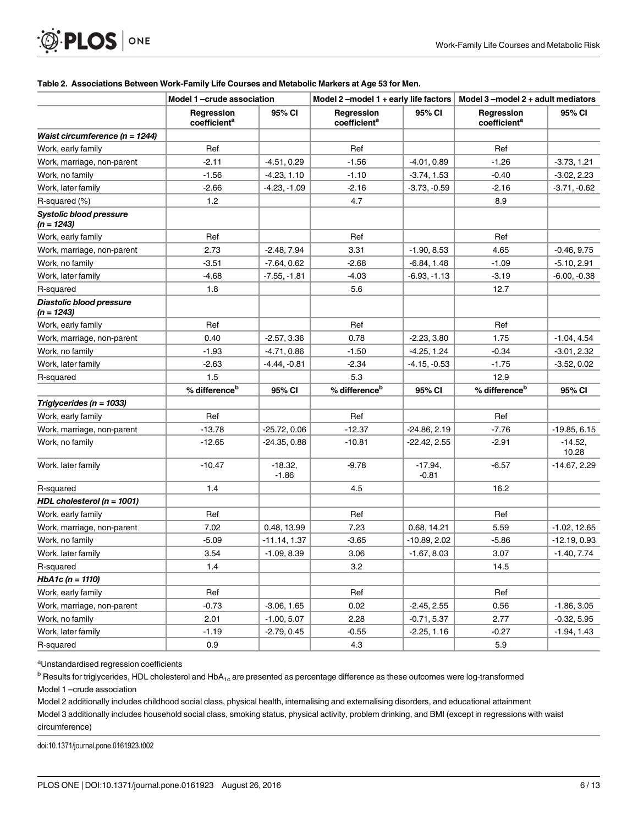#### [Table 2.](#page-4-0) Associations Between Work-Family Life Courses and Metabolic Markers at Age 53 for Men.

|                                                | Model 1-crude association              |                     | Model 2-model 1 + early life factors   |                     | Model $3$ –model $2 +$ adult mediators |                    |
|------------------------------------------------|----------------------------------------|---------------------|----------------------------------------|---------------------|----------------------------------------|--------------------|
|                                                | Regression<br>coefficient <sup>a</sup> | 95% CI              | Regression<br>coefficient <sup>a</sup> | 95% CI              | Regression<br>coefficient <sup>a</sup> | 95% CI             |
| Waist circumference ( $n = 1244$ )             |                                        |                     |                                        |                     |                                        |                    |
| Work, early family                             | Ref                                    |                     | Ref                                    |                     | Ref                                    |                    |
| Work, marriage, non-parent                     | $-2.11$                                | $-4.51, 0.29$       | $-1.56$                                | $-4.01, 0.89$       | $-1.26$                                | $-3.73, 1.21$      |
| Work, no family                                | $-1.56$                                | $-4.23, 1.10$       | $-1.10$                                | $-3.74, 1.53$       | $-0.40$                                | $-3.02, 2.23$      |
| Work, later family                             | $-2.66$                                | $-4.23, -1.09$      | $-2.16$                                | $-3.73, -0.59$      | $-2.16$                                | $-3.71, -0.62$     |
| R-squared (%)                                  | 1.2                                    |                     | 4.7                                    |                     | 8.9                                    |                    |
| <b>Systolic blood pressure</b><br>$(n = 1243)$ |                                        |                     |                                        |                     |                                        |                    |
| Work, early family                             | Ref                                    |                     | Ref                                    |                     | Ref                                    |                    |
| Work, marriage, non-parent                     | 2.73                                   | $-2.48, 7.94$       | 3.31                                   | $-1.90, 8.53$       | 4.65                                   | $-0.46, 9.75$      |
| Work, no family                                | $-3.51$                                | $-7.64, 0.62$       | $-2.68$                                | $-6.84, 1.48$       | $-1.09$                                | $-5.10, 2.91$      |
| Work, later family                             | $-4.68$                                | $-7.55, -1.81$      | $-4.03$                                | $-6.93, -1.13$      | $-3.19$                                | $-6.00, -0.38$     |
| R-squared                                      | 1.8                                    |                     | 5.6                                    |                     | 12.7                                   |                    |
| Diastolic blood pressure<br>$(n = 1243)$       |                                        |                     |                                        |                     |                                        |                    |
| Work, early family                             | Ref                                    |                     | Ref                                    |                     | Ref                                    |                    |
| Work, marriage, non-parent                     | 0.40                                   | $-2.57, 3.36$       | 0.78                                   | $-2.23, 3.80$       | 1.75                                   | $-1.04, 4.54$      |
| Work, no family                                | $-1.93$                                | $-4.71, 0.86$       | $-1.50$                                | $-4.25, 1.24$       | $-0.34$                                | $-3.01, 2.32$      |
| Work, later family                             | $-2.63$                                | $-4.44 - 0.81$      | $-2.34$                                | $-4.15, -0.53$      | $-1.75$                                | $-3.52, 0.02$      |
| R-squared                                      | 1.5                                    |                     | 5.3                                    |                     | 12.9                                   |                    |
|                                                | % difference <sup>b</sup>              | 95% CI              | % difference <sup>b</sup>              | 95% CI              | % difference <sup>b</sup>              | 95% CI             |
| Triglycerides ( $n = 1033$ )                   |                                        |                     |                                        |                     |                                        |                    |
| Work, early family                             | Ref                                    |                     | Ref                                    |                     | Ref                                    |                    |
| Work, marriage, non-parent                     | $-13.78$                               | $-25.72, 0.06$      | $-12.37$                               | $-24.86, 2.19$      | $-7.76$                                | $-19.85, 6.15$     |
| Work, no family                                | $-12.65$                               | $-24.35, 0.88$      | $-10.81$                               | -22.42, 2.55        | $-2.91$                                | $-14.52,$<br>10.28 |
| Work, later family                             | $-10.47$                               | $-18.32$<br>$-1.86$ | $-9.78$                                | $-17.94$<br>$-0.81$ | $-6.57$                                | -14.67, 2.29       |
| R-squared                                      | 1.4                                    |                     | 4.5                                    |                     | 16.2                                   |                    |
| HDL cholesterol ( $n = 1001$ )                 |                                        |                     |                                        |                     |                                        |                    |
| Work, early family                             | Ref                                    |                     | Ref                                    |                     | Ref                                    |                    |
| Work, marriage, non-parent                     | 7.02                                   | 0.48, 13.99         | 7.23                                   | 0.68, 14.21         | 5.59                                   | $-1.02, 12.65$     |
| Work, no family                                | $-5.09$                                | $-11.14, 1.37$      | $-3.65$                                | $-10.89, 2.02$      | $-5.86$                                | -12.19, 0.93       |
| Work, later family                             | 3.54                                   | $-1.09, 8.39$       | 3.06                                   | $-1.67, 8.03$       | 3.07                                   | $-1.40, 7.74$      |
| R-squared                                      | 1.4                                    |                     | 3.2                                    |                     | 14.5                                   |                    |
| $HbA1c (n = 1110)$                             |                                        |                     |                                        |                     |                                        |                    |
| Work, early family                             | Ref                                    |                     | Ref                                    |                     | Ref                                    |                    |
| Work, marriage, non-parent                     | $-0.73$                                | $-3.06, 1.65$       | 0.02                                   | $-2.45, 2.55$       | 0.56                                   | $-1.86, 3.05$      |
| Work, no family                                | 2.01                                   | $-1.00, 5.07$       | 2.28                                   | $-0.71, 5.37$       | 2.77                                   | $-0.32, 5.95$      |
| Work, later family                             | $-1.19$                                | $-2.79, 0.45$       | $-0.55$                                | $-2.25, 1.16$       | $-0.27$                                | $-1.94, 1.43$      |
| R-squared                                      | 0.9                                    |                     | 4.3                                    |                     | 5.9                                    |                    |

<sup>a</sup>Unstandardised regression coefficients

PLOS ONE

<span id="page-5-0"></span> $\bigcirc$ 

 $^{\rm b}$  Results for triglycerides, HDL cholesterol and HbA<sub>1c</sub> are presented as percentage difference as these outcomes were log-transformed

Model 1 –crude association

Model 2 additionally includes childhood social class, physical health, internalising and externalising disorders, and educational attainment

Model 3 additionally includes household social class, smoking status, physical activity, problem drinking, and BMI (except in regressions with waist circumference)

doi:10.1371/journal.pone.0161923.t002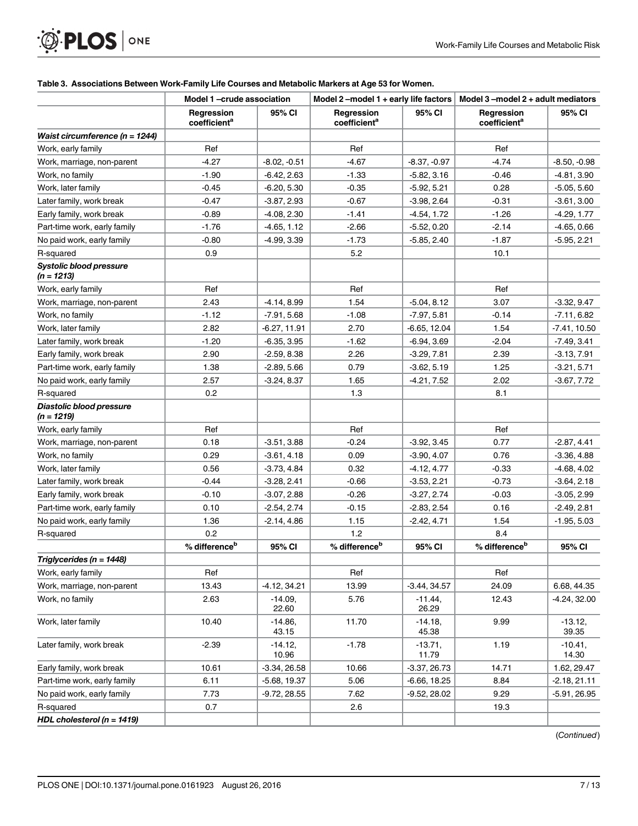# <span id="page-6-0"></span>**OF PLOS** ONE

#### [Table 3.](#page-4-0) Associations Between Work-Family Life Courses and Metabolic Markers at Age 53 for Women.

|                                          | Model 1-crude association              |                    | Model 2-model 1 + early life factors   |                    | Model $3$ –model $2 +$ adult mediators |                    |
|------------------------------------------|----------------------------------------|--------------------|----------------------------------------|--------------------|----------------------------------------|--------------------|
|                                          | Regression<br>coefficient <sup>a</sup> | 95% CI             | Regression<br>coefficient <sup>a</sup> | 95% CI             | Regression<br>coefficient <sup>a</sup> | 95% CI             |
| Waist circumference (n = 1244)           |                                        |                    |                                        |                    |                                        |                    |
| Work, early family                       | Ref                                    |                    | Ref                                    |                    | Ref                                    |                    |
| Work, marriage, non-parent               | $-4.27$                                | $-8.02, -0.51$     | $-4.67$                                | $-8.37, -0.97$     | $-4.74$                                | $-8.50, -0.98$     |
| Work, no family                          | $-1.90$                                | $-6.42, 2.63$      | $-1.33$                                | $-5.82, 3.16$      | $-0.46$                                | $-4.81, 3.90$      |
| Work, later family                       | $-0.45$                                | $-6.20, 5.30$      | $-0.35$                                | $-5.92, 5.21$      | 0.28                                   | $-5.05, 5.60$      |
| Later family, work break                 | -0.47                                  | $-3.87, 2.93$      | -0.67                                  | $-3.98, 2.64$      | $-0.31$                                | $-3.61, 3.00$      |
| Early family, work break                 | $-0.89$                                | $-4.08, 2.30$      | $-1.41$                                | $-4.54, 1.72$      | $-1.26$                                | $-4.29, 1.77$      |
| Part-time work, early family             | $-1.76$                                | $-4.65, 1.12$      | $-2.66$                                | $-5.52, 0.20$      | $-2.14$                                | $-4.65, 0.66$      |
| No paid work, early family               | $-0.80$                                | $-4.99, 3.39$      | $-1.73$                                | $-5.85, 2.40$      | $-1.87$                                | $-5.95, 2.21$      |
| R-squared                                | 0.9                                    |                    | 5.2                                    |                    | 10.1                                   |                    |
| Systolic blood pressure<br>$(n = 1213)$  |                                        |                    |                                        |                    |                                        |                    |
| Work, early family                       | Ref                                    |                    | Ref                                    |                    | Ref                                    |                    |
| Work, marriage, non-parent               | 2.43                                   | $-4.14, 8.99$      | 1.54                                   | $-5.04, 8.12$      | 3.07                                   | $-3.32, 9.47$      |
| Work, no family                          | $-1.12$                                | $-7.91, 5.68$      | $-1.08$                                | $-7.97, 5.81$      | $-0.14$                                | $-7.11, 6.82$      |
| Work, later family                       | 2.82                                   | -6.27, 11.91       | 2.70                                   | $-6.65, 12.04$     | 1.54                                   | $-7.41, 10.50$     |
| Later family, work break                 | $-1.20$                                | $-6.35, 3.95$      | $-1.62$                                | $-6.94, 3.69$      | $-2.04$                                | $-7.49, 3.41$      |
| Early family, work break                 | 2.90                                   | $-2.59, 8.38$      | 2.26                                   | $-3.29, 7.81$      | 2.39                                   | $-3.13, 7.91$      |
| Part-time work, early family             | 1.38                                   | $-2.89, 5.66$      | 0.79                                   | $-3.62, 5.19$      | 1.25                                   | $-3.21, 5.71$      |
| No paid work, early family               | 2.57                                   | $-3.24, 8.37$      | 1.65                                   | $-4.21, 7.52$      | 2.02                                   | $-3.67, 7.72$      |
| R-squared                                | 0.2                                    |                    | 1.3                                    |                    | 8.1                                    |                    |
| Diastolic blood pressure<br>$(n = 1219)$ |                                        |                    |                                        |                    |                                        |                    |
| Work, early family                       | Ref                                    |                    | Ref                                    |                    | Ref                                    |                    |
| Work, marriage, non-parent               | 0.18                                   | $-3.51, 3.88$      | $-0.24$                                | $-3.92, 3.45$      | 0.77                                   | $-2.87, 4.41$      |
| Work, no family                          | 0.29                                   | $-3.61, 4.18$      | 0.09                                   | $-3.90, 4.07$      | 0.76                                   | $-3.36, 4.88$      |
| Work, later family                       | 0.56                                   | $-3.73, 4.84$      | 0.32                                   | $-4.12, 4.77$      | $-0.33$                                | -4.68, 4.02        |
| Later family, work break                 | $-0.44$                                | $-3.28, 2.41$      | $-0.66$                                | $-3.53, 2.21$      | $-0.73$                                | $-3.64, 2.18$      |
| Early family, work break                 | -0.10                                  | $-3.07, 2.88$      | $-0.26$                                | $-3.27, 2.74$      | $-0.03$                                | $-3.05, 2.99$      |
| Part-time work, early family             | 0.10                                   | $-2.54, 2.74$      | -0.15                                  | $-2.83, 2.54$      | 0.16                                   | $-2.49, 2.81$      |
| No paid work, early family               | 1.36                                   | -2.14, 4.86        | 1.15                                   | -2.42, 4.71        | 1.54                                   | $-1.95, 5.03$      |
| R-squared                                | 0.2                                    |                    | 1.2                                    |                    | 8.4                                    |                    |
|                                          | % difference <sup>b</sup>              | 95% CI             | % difference <sup>b</sup>              | 95% CI             | % difference <sup>b</sup>              | 95% CI             |
| Triglycerides (n = 1448)                 |                                        |                    |                                        |                    |                                        |                    |
| Work, early family                       | Ref                                    |                    | Ref                                    |                    | Ref                                    |                    |
| Work, marriage, non-parent               | 13.43                                  | $-4.12, 34.21$     | 13.99                                  | $-3.44, 34.57$     | 24.09                                  | 6.68, 44.35        |
| Work, no family                          | 2.63                                   | $-14.09,$<br>22.60 | 5.76                                   | $-11.44$<br>26.29  | 12.43                                  | $-4.24, 32.00$     |
| Work, later family                       | 10.40                                  | $-14.86,$<br>43.15 | 11.70                                  | $-14.18,$<br>45.38 | 9.99                                   | $-13.12,$<br>39.35 |
| Later family, work break                 | $-2.39$                                | $-14.12,$<br>10.96 | $-1.78$                                | $-13.71,$<br>11.79 | 1.19                                   | $-10.41,$<br>14.30 |
| Early family, work break                 | 10.61                                  | $-3.34, 26.58$     | 10.66                                  | $-3.37, 26.73$     | 14.71                                  | 1.62, 29.47        |
| Part-time work, early family             | 6.11                                   | $-5.68, 19.37$     | 5.06                                   | $-6.66, 18.25$     | 8.84                                   | $-2.18, 21.11$     |
| No paid work, early family               | 7.73                                   | $-9.72, 28.55$     | 7.62                                   | $-9.52, 28.02$     | 9.29                                   | $-5.91, 26.95$     |
| R-squared                                | 0.7                                    |                    | 2.6                                    |                    | 19.3                                   |                    |
| HDL cholesterol ( $n = 1419$ )           |                                        |                    |                                        |                    |                                        |                    |

(Continued)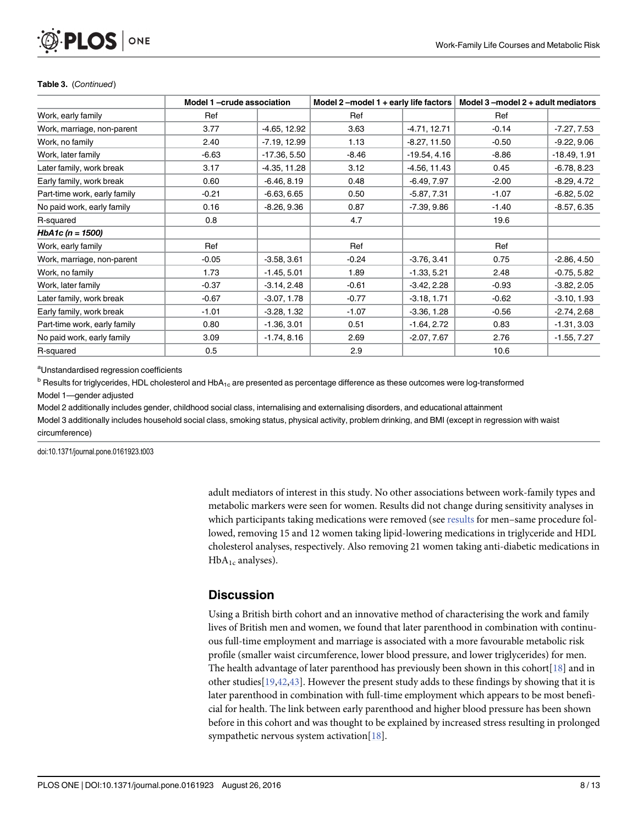# <span id="page-7-0"></span>**PLOS I** ONE

#### Table 3. (Continued)

|                              | Model 2-model 1 + early life factors $ $<br>Model 1-crude association |                | Model $3$ -model $2 +$ adult mediators |                |         |                |
|------------------------------|-----------------------------------------------------------------------|----------------|----------------------------------------|----------------|---------|----------------|
| Work, early family           | Ref                                                                   |                | Ref                                    |                | Ref     |                |
| Work, marriage, non-parent   | 3.77                                                                  | $-4.65, 12.92$ | 3.63                                   | $-4.71, 12.71$ | $-0.14$ | $-7.27, 7.53$  |
| Work, no family              | 2.40                                                                  | $-7.19, 12.99$ | 1.13                                   | $-8.27, 11.50$ | $-0.50$ | $-9.22, 9.06$  |
| Work, later family           | $-6.63$                                                               | $-17.36, 5.50$ | $-8.46$                                | $-19.54, 4.16$ | $-8.86$ | $-18.49, 1.91$ |
| Later family, work break     | 3.17                                                                  | $-4.35, 11.28$ | 3.12                                   | $-4.56, 11.43$ | 0.45    | $-6.78, 8.23$  |
| Early family, work break     | 0.60                                                                  | $-6.46, 8.19$  | 0.48                                   | $-6.49, 7.97$  | $-2.00$ | $-8.29, 4.72$  |
| Part-time work, early family | $-0.21$                                                               | $-6.63, 6.65$  | 0.50                                   | $-5.87, 7.31$  | $-1.07$ | $-6.82, 5.02$  |
| No paid work, early family   | 0.16                                                                  | $-8.26, 9.36$  | 0.87                                   | $-7.39, 9.86$  | $-1.40$ | $-8.57, 6.35$  |
| R-squared                    | 0.8                                                                   |                | 4.7                                    |                | 19.6    |                |
| HbA1c ( $n = 1500$ )         |                                                                       |                |                                        |                |         |                |
| Work, early family           | Ref                                                                   |                | Ref                                    |                | Ref     |                |
| Work, marriage, non-parent   | $-0.05$                                                               | $-3.58, 3.61$  | $-0.24$                                | $-3.76, 3.41$  | 0.75    | $-2.86, 4.50$  |
| Work, no family              | 1.73                                                                  | $-1.45, 5.01$  | 1.89                                   | $-1.33, 5.21$  | 2.48    | $-0.75, 5.82$  |
| Work, later family           | $-0.37$                                                               | $-3.14, 2.48$  | $-0.61$                                | $-3.42, 2.28$  | $-0.93$ | $-3.82, 2.05$  |
| Later family, work break     | $-0.67$                                                               | $-3.07, 1.78$  | $-0.77$                                | $-3.18, 1.71$  | $-0.62$ | $-3.10, 1.93$  |
| Early family, work break     | $-1.01$                                                               | $-3.28, 1.32$  | $-1.07$                                | $-3.36, 1.28$  | $-0.56$ | $-2.74, 2.68$  |
| Part-time work, early family | 0.80                                                                  | $-1.36, 3.01$  | 0.51                                   | $-1.64, 2.72$  | 0.83    | $-1.31, 3.03$  |
| No paid work, early family   | 3.09                                                                  | $-1.74, 8.16$  | 2.69                                   | $-2.07, 7.67$  | 2.76    | $-1.55, 7.27$  |
| R-squared                    | 0.5                                                                   |                | 2.9                                    |                | 10.6    |                |

<sup>a</sup>Unstandardised regression coefficients

 $b$  Results for triglycerides, HDL cholesterol and HbA<sub>1c</sub> are presented as percentage difference as these outcomes were log-transformed Model 1—gender adjusted

Model 2 additionally includes gender, childhood social class, internalising and externalising disorders, and educational attainment Model 3 additionally includes household social class, smoking status, physical activity, problem drinking, and BMI (except in regression with waist circumference)

doi:10.1371/journal.pone.0161923.t003

adult mediators of interest in this study. No other associations between work-family types and metabolic markers were seen for women. Results did not change during sensitivity analyses in which participants taking medications were removed (see [results](#page-4-0) for men-same procedure followed, removing 15 and 12 women taking lipid-lowering medications in triglyceride and HDL cholesterol analyses, respectively. Also removing 21 women taking anti-diabetic medications in  $HbA_{1c}$  analyses).

# **Discussion**

Using a British birth cohort and an innovative method of characterising the work and family lives of British men and women, we found that later parenthood in combination with continuous full-time employment and marriage is associated with a more favourable metabolic risk profile (smaller waist circumference, lower blood pressure, and lower triglycerides) for men. The health advantage of later parenthood has previously been shown in this cohort [[18](#page-10-0)] and in other studies  $[19,42,43]$  $[19,42,43]$  $[19,42,43]$ . However the present study adds to these findings by showing that it is later parenthood in combination with full-time employment which appears to be most beneficial for health. The link between early parenthood and higher blood pressure has been shown before in this cohort and was thought to be explained by increased stress resulting in prolonged sympathetic nervous system activation[\[18](#page-10-0)].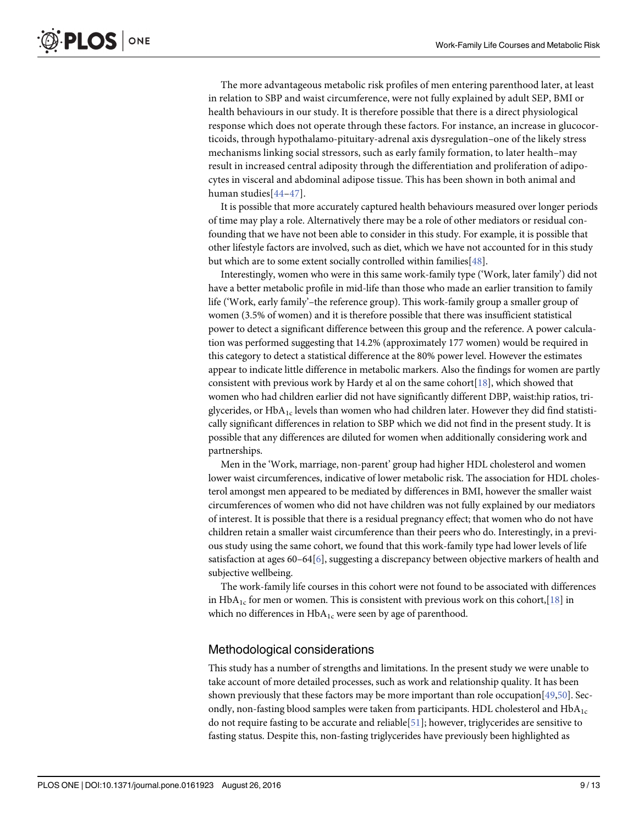<span id="page-8-0"></span>The more advantageous metabolic risk profiles of men entering parenthood later, at least in relation to SBP and waist circumference, were not fully explained by adult SEP, BMI or health behaviours in our study. It is therefore possible that there is a direct physiological response which does not operate through these factors. For instance, an increase in glucocorticoids, through hypothalamo-pituitary-adrenal axis dysregulation–one of the likely stress mechanisms linking social stressors, such as early family formation, to later health–may result in increased central adiposity through the differentiation and proliferation of adipocytes in visceral and abdominal adipose tissue. This has been shown in both animal and human studies[[44](#page-12-0)–[47\]](#page-12-0).

It is possible that more accurately captured health behaviours measured over longer periods of time may play a role. Alternatively there may be a role of other mediators or residual confounding that we have not been able to consider in this study. For example, it is possible that other lifestyle factors are involved, such as diet, which we have not accounted for in this study but which are to some extent socially controlled within families[\[48\]](#page-12-0).

Interestingly, women who were in this same work-family type ('Work, later family') did not have a better metabolic profile in mid-life than those who made an earlier transition to family life ('Work, early family'–the reference group). This work-family group a smaller group of women (3.5% of women) and it is therefore possible that there was insufficient statistical power to detect a significant difference between this group and the reference. A power calculation was performed suggesting that 14.2% (approximately 177 women) would be required in this category to detect a statistical difference at the 80% power level. However the estimates appear to indicate little difference in metabolic markers. Also the findings for women are partly consistent with previous work by Hardy et al on the same cohort[\[18](#page-10-0)], which showed that women who had children earlier did not have significantly different DBP, waist:hip ratios, triglycerides, or  $HbA_{1c}$  levels than women who had children later. However they did find statistically significant differences in relation to SBP which we did not find in the present study. It is possible that any differences are diluted for women when additionally considering work and partnerships.

Men in the 'Work, marriage, non-parent' group had higher HDL cholesterol and women lower waist circumferences, indicative of lower metabolic risk. The association for HDL cholesterol amongst men appeared to be mediated by differences in BMI, however the smaller waist circumferences of women who did not have children was not fully explained by our mediators of interest. It is possible that there is a residual pregnancy effect; that women who do not have children retain a smaller waist circumference than their peers who do. Interestingly, in a previous study using the same cohort, we found that this work-family type had lower levels of life satisfaction at ages  $60-64[6]$  $60-64[6]$  $60-64[6]$ , suggesting a discrepancy between objective markers of health and subjective wellbeing.

The work-family life courses in this cohort were not found to be associated with differences in HbA<sub>1c</sub> for men or women. This is consistent with previous work on this cohort, [[18](#page-10-0)] in which no differences in  $HbA_{1c}$  were seen by age of parenthood.

#### Methodological considerations

This study has a number of strengths and limitations. In the present study we were unable to take account of more detailed processes, such as work and relationship quality. It has been shown previously that these factors may be more important than role occupation[\[49,50\]](#page-12-0). Secondly, non-fasting blood samples were taken from participants. HDL cholesterol and  $HbA_{1c}$ do not require fasting to be accurate and reliable  $[51]$ ; however, triglycerides are sensitive to fasting status. Despite this, non-fasting triglycerides have previously been highlighted as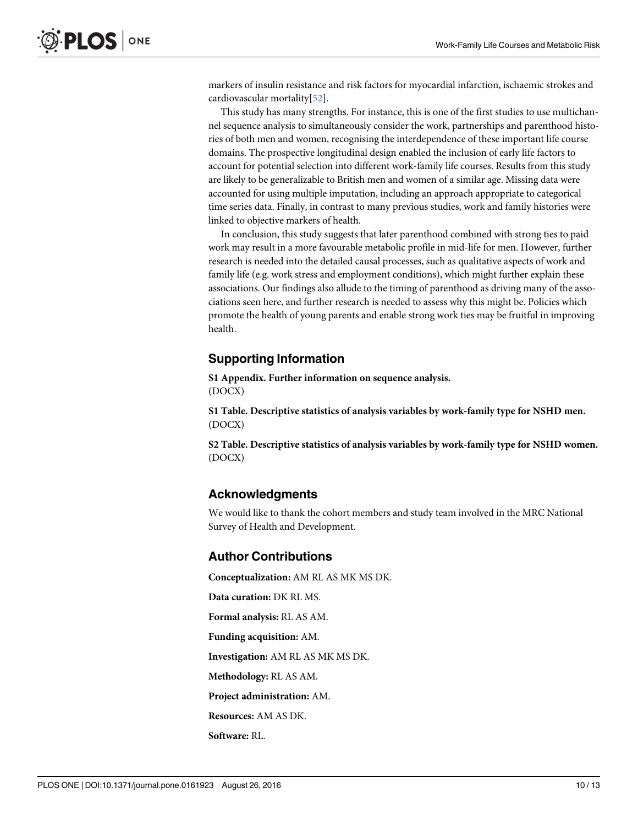<span id="page-9-0"></span>markers of insulin resistance and risk factors for myocardial infarction, ischaemic strokes and cardiovascular mortality[\[52\]](#page-12-0).

This study has many strengths. For instance, this is one of the first studies to use multichannel sequence analysis to simultaneously consider the work, partnerships and parenthood histories of both men and women, recognising the interdependence of these important life course domains. The prospective longitudinal design enabled the inclusion of early life factors to account for potential selection into different work-family life courses. Results from this study are likely to be generalizable to British men and women of a similar age. Missing data were accounted for using multiple imputation, including an approach appropriate to categorical time series data. Finally, in contrast to many previous studies, work and family histories were linked to objective markers of health.

In conclusion, this study suggests that later parenthood combined with strong ties to paid work may result in a more favourable metabolic profile in mid-life for men. However, further research is needed into the detailed causal processes, such as qualitative aspects of work and family life (e.g. work stress and employment conditions), which might further explain these associations. Our findings also allude to the timing of parenthood as driving many of the associations seen here, and further research is needed to assess why this might be. Policies which promote the health of young parents and enable strong work ties may be fruitful in improving health.

# Supporting Information

[S1 Appendix.](http://www.plosone.org/article/fetchSingleRepresentation.action?uri=info:doi/10.1371/journal.pone.0161923.s001) Further information on sequence analysis. (DOCX)

[S1 Table](http://www.plosone.org/article/fetchSingleRepresentation.action?uri=info:doi/10.1371/journal.pone.0161923.s002). Descriptive statistics of analysis variables by work-family type for NSHD men. (DOCX)

[S2 Table](http://www.plosone.org/article/fetchSingleRepresentation.action?uri=info:doi/10.1371/journal.pone.0161923.s003). Descriptive statistics of analysis variables by work-family type for NSHD women. (DOCX)

# Acknowledgments

We would like to thank the cohort members and study team involved in the MRC National Survey of Health and Development.

### Author Contributions

Conceptualization: AM RL AS MK MS DK. Data curation: DK RL MS. Formal analysis: RL AS AM. Funding acquisition: AM. Investigation: AM RL AS MK MS DK. Methodology: RL AS AM. Project administration: AM. Resources: AM AS DK. Software: RL.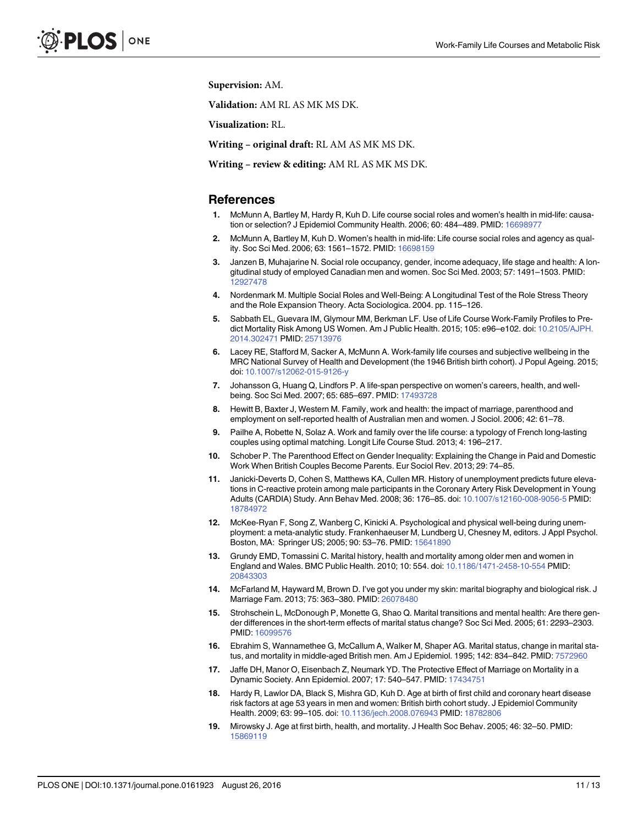<span id="page-10-0"></span>Supervision: AM.

Validation: AM RL AS MK MS DK.

Visualization: RL.

Writing – original draft: RL AM AS MK MS DK.

Writing – review & editing: AM RL AS MK MS DK.

#### References

- [1.](#page-0-0) McMunn A, Bartley M, Hardy R, Kuh D. Life course social roles and women's health in mid-life: causation or selection? J Epidemiol Community Health. 2006; 60: 484–489. PMID: [16698977](http://www.ncbi.nlm.nih.gov/pubmed/16698977)
- 2. McMunn A, Bartley M, Kuh D. Women's health in mid-life: Life course social roles and agency as quality. Soc Sci Med. 2006; 63: 1561–1572. PMID: [16698159](http://www.ncbi.nlm.nih.gov/pubmed/16698159)
- 3. Janzen B, Muhajarine N. Social role occupancy, gender, income adequacy, life stage and health: A longitudinal study of employed Canadian men and women. Soc Sci Med. 2003; 57: 1491–1503. PMID: [12927478](http://www.ncbi.nlm.nih.gov/pubmed/12927478)
- 4. Nordenmark M. Multiple Social Roles and Well-Being: A Longitudinal Test of the Role Stress Theory and the Role Expansion Theory. Acta Sociologica. 2004. pp. 115–126.
- 5. Sabbath EL, Guevara IM, Glymour MM, Berkman LF. Use of Life Course Work-Family Profiles to Predict Mortality Risk Among US Women. Am J Public Health. 2015; 105: e96–e102. doi: [10.2105/AJPH.](http://dx.doi.org/10.2105/AJPH.2014.302471) [2014.302471](http://dx.doi.org/10.2105/AJPH.2014.302471) PMID: [25713976](http://www.ncbi.nlm.nih.gov/pubmed/25713976)
- [6.](#page-0-0) Lacey RE, Stafford M, Sacker A, McMunn A. Work-family life courses and subjective wellbeing in the MRC National Survey of Health and Development (the 1946 British birth cohort). J Popul Ageing. 2015; doi: [10.1007/s12062-015-9126-y](http://dx.doi.org/10.1007/s12062-015-9126-y)
- [7.](#page-0-0) Johansson G, Huang Q, Lindfors P. A life-span perspective on women's careers, health, and wellbeing. Soc Sci Med. 2007; 65: 685–697. PMID: [17493728](http://www.ncbi.nlm.nih.gov/pubmed/17493728)
- [8.](#page-0-0) Hewitt B, Baxter J, Western M. Family, work and health: the impact of marriage, parenthood and employment on self-reported health of Australian men and women. J Sociol. 2006; 42: 61–78.
- [9.](#page-0-0) Pailhe A, Robette N, Solaz A. Work and family over the life course: a typology of French long-lasting couples using optimal matching. Longit Life Course Stud. 2013; 4: 196–217.
- [10.](#page-0-0) Schober P. The Parenthood Effect on Gender Inequality: Explaining the Change in Paid and Domestic Work When British Couples Become Parents. Eur Sociol Rev. 2013; 29: 74–85.
- [11.](#page-0-0) Janicki-Deverts D, Cohen S, Matthews KA, Cullen MR. History of unemployment predicts future elevations in C-reactive protein among male participants in the Coronary Artery Risk Development in Young Adults (CARDIA) Study. Ann Behav Med. 2008; 36: 176–85. doi: [10.1007/s12160-008-9056-5](http://dx.doi.org/10.1007/s12160-008-9056-5) PMID: [18784972](http://www.ncbi.nlm.nih.gov/pubmed/18784972)
- [12.](#page-0-0) McKee-Ryan F, Song Z, Wanberg C, Kinicki A. Psychological and physical well-being during unemployment: a meta-analytic study. Frankenhaeuser M, Lundberg U, Chesney M, editors. J Appl Psychol. Boston, MA: Springer US; 2005; 90: 53–76. PMID: [15641890](http://www.ncbi.nlm.nih.gov/pubmed/15641890)
- [13.](#page-1-0) Grundy EMD, Tomassini C. Marital history, health and mortality among older men and women in England and Wales. BMC Public Health. 2010; 10: 554. doi: [10.1186/1471-2458-10-554](http://dx.doi.org/10.1186/1471-2458-10-554) PMID: [20843303](http://www.ncbi.nlm.nih.gov/pubmed/20843303)
- [14.](#page-1-0) McFarland M, Hayward M, Brown D. I've got you under my skin: marital biography and biological risk. J Marriage Fam. 2013; 75: 363–380. PMID: [26078480](http://www.ncbi.nlm.nih.gov/pubmed/26078480)
- 15. Strohschein L, McDonough P, Monette G, Shao Q. Marital transitions and mental health: Are there gender differences in the short-term effects of marital status change? Soc Sci Med. 2005; 61: 2293–2303. PMID: [16099576](http://www.ncbi.nlm.nih.gov/pubmed/16099576)
- 16. Ebrahim S, Wannamethee G, McCallum A, Walker M, Shaper AG. Marital status, change in marital status, and mortality in middle-aged British men. Am J Epidemiol. 1995; 142: 834–842. PMID: [7572960](http://www.ncbi.nlm.nih.gov/pubmed/7572960)
- [17.](#page-1-0) Jaffe DH, Manor O, Eisenbach Z, Neumark YD. The Protective Effect of Marriage on Mortality in a Dynamic Society. Ann Epidemiol. 2007; 17: 540–547. PMID: [17434751](http://www.ncbi.nlm.nih.gov/pubmed/17434751)
- [18.](#page-1-0) Hardy R, Lawlor DA, Black S, Mishra GD, Kuh D. Age at birth of first child and coronary heart disease risk factors at age 53 years in men and women: British birth cohort study. J Epidemiol Community Health. 2009; 63: 99–105. doi: [10.1136/jech.2008.076943](http://dx.doi.org/10.1136/jech.2008.076943) PMID: [18782806](http://www.ncbi.nlm.nih.gov/pubmed/18782806)
- [19.](#page-1-0) Mirowsky J. Age at first birth, health, and mortality. J Health Soc Behav. 2005; 46: 32–50. PMID: [15869119](http://www.ncbi.nlm.nih.gov/pubmed/15869119)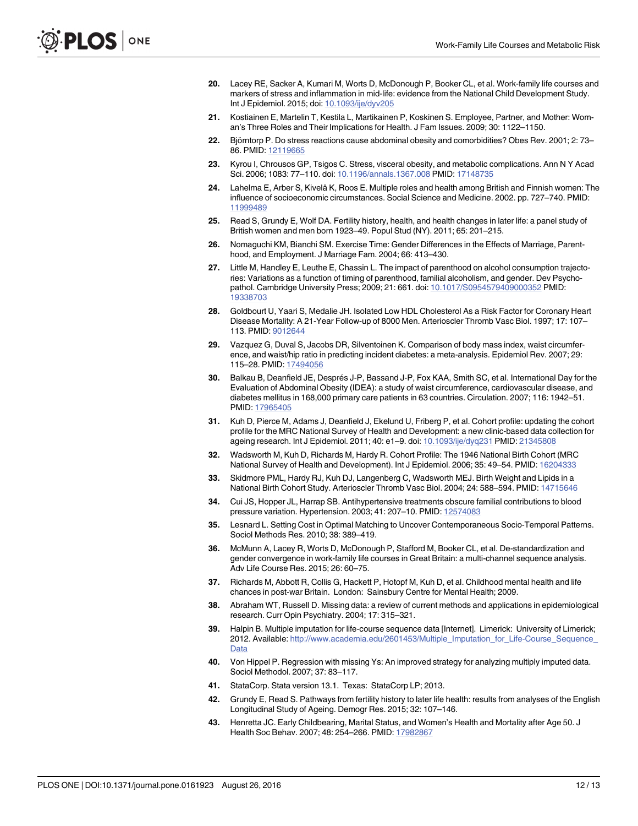- <span id="page-11-0"></span>[20.](#page-1-0) Lacey RE, Sacker A, Kumari M, Worts D, McDonough P, Booker CL, et al. Work-family life courses and markers of stress and inflammation in mid-life: evidence from the National Child Development Study. Int J Epidemiol. 2015; doi: [10.1093/ije/dyv205](http://dx.doi.org/10.1093/ije/dyv205)
- [21.](#page-1-0) Kostiainen E, Martelin T, Kestila L, Martikainen P, Koskinen S. Employee, Partner, and Mother: Woman's Three Roles and Their Implications for Health. J Fam Issues. 2009; 30: 1122–1150.
- [22.](#page-1-0) Björntorp P. Do stress reactions cause abdominal obesity and comorbidities? Obes Rev. 2001; 2: 73– 86. PMID: [12119665](http://www.ncbi.nlm.nih.gov/pubmed/12119665)
- [23.](#page-1-0) Kyrou I, Chrousos GP, Tsigos C. Stress, visceral obesity, and metabolic complications. Ann N Y Acad Sci. 2006; 1083: 77–110. doi: [10.1196/annals.1367.008](http://dx.doi.org/10.1196/annals.1367.008) PMID: [17148735](http://www.ncbi.nlm.nih.gov/pubmed/17148735)
- [24.](#page-1-0) Lahelma E, Arber S, Kivelä K, Roos E. Multiple roles and health among British and Finnish women: The influence of socioeconomic circumstances. Social Science and Medicine. 2002. pp. 727–740. PMID: [11999489](http://www.ncbi.nlm.nih.gov/pubmed/11999489)
- [25.](#page-1-0) Read S, Grundy E, Wolf DA. Fertility history, health, and health changes in later life: a panel study of British women and men born 1923–49. Popul Stud (NY). 2011; 65: 201–215.
- 26. Nomaguchi KM, Bianchi SM. Exercise Time: Gender Differences in the Effects of Marriage, Parenthood, and Employment. J Marriage Fam. 2004; 66: 413–430.
- [27.](#page-1-0) Little M, Handley E, Leuthe E, Chassin L. The impact of parenthood on alcohol consumption trajectories: Variations as a function of timing of parenthood, familial alcoholism, and gender. Dev Psychopathol. Cambridge University Press; 2009; 21: 661. doi: [10.1017/S0954579409000352](http://dx.doi.org/10.1017/S0954579409000352) PMID: [19338703](http://www.ncbi.nlm.nih.gov/pubmed/19338703)
- [28.](#page-1-0) Goldbourt U, Yaari S, Medalie JH. Isolated Low HDL Cholesterol As a Risk Factor for Coronary Heart Disease Mortality: A 21-Year Follow-up of 8000 Men. Arterioscler Thromb Vasc Biol. 1997; 17: 107– 113. PMID: [9012644](http://www.ncbi.nlm.nih.gov/pubmed/9012644)
- 29. Vazquez G, Duval S, Jacobs DR, Silventoinen K. Comparison of body mass index, waist circumference, and waist/hip ratio in predicting incident diabetes: a meta-analysis. Epidemiol Rev. 2007; 29: 115–28. PMID: [17494056](http://www.ncbi.nlm.nih.gov/pubmed/17494056)
- [30.](#page-1-0) Balkau B, Deanfield JE, Després J-P, Bassand J-P, Fox KAA, Smith SC, et al. International Day for the Evaluation of Abdominal Obesity (IDEA): a study of waist circumference, cardiovascular disease, and diabetes mellitus in 168,000 primary care patients in 63 countries. Circulation. 2007; 116: 1942–51. PMID: [17965405](http://www.ncbi.nlm.nih.gov/pubmed/17965405)
- [31.](#page-1-0) Kuh D, Pierce M, Adams J, Deanfield J, Ekelund U, Friberg P, et al. Cohort profile: updating the cohort profile for the MRC National Survey of Health and Development: a new clinic-based data collection for ageing research. Int J Epidemiol. 2011; 40: e1–9. doi: [10.1093/ije/dyq231](http://dx.doi.org/10.1093/ije/dyq231) PMID: [21345808](http://www.ncbi.nlm.nih.gov/pubmed/21345808)
- [32.](#page-1-0) Wadsworth M, Kuh D, Richards M, Hardy R. Cohort Profile: The 1946 National Birth Cohort (MRC National Survey of Health and Development). Int J Epidemiol. 2006; 35: 49–54. PMID: [16204333](http://www.ncbi.nlm.nih.gov/pubmed/16204333)
- [33.](#page-2-0) Skidmore PML, Hardy RJ, Kuh DJ, Langenberg C, Wadsworth MEJ. Birth Weight and Lipids in a National Birth Cohort Study. Arterioscler Thromb Vasc Biol. 2004; 24: 588–594. PMID: [14715646](http://www.ncbi.nlm.nih.gov/pubmed/14715646)
- [34.](#page-2-0) Cui JS, Hopper JL, Harrap SB. Antihypertensive treatments obscure familial contributions to blood pressure variation. Hypertension. 2003; 41: 207–10. PMID: [12574083](http://www.ncbi.nlm.nih.gov/pubmed/12574083)
- [35.](#page-2-0) Lesnard L. Setting Cost in Optimal Matching to Uncover Contemporaneous Socio-Temporal Patterns. Sociol Methods Res. 2010; 38: 389–419.
- [36.](#page-2-0) McMunn A, Lacey R, Worts D, McDonough P, Stafford M, Booker CL, et al. De-standardization and gender convergence in work-family life courses in Great Britain: a multi-channel sequence analysis. Adv Life Course Res. 2015; 26: 60–75.
- [37.](#page-3-0) Richards M, Abbott R, Collis G, Hackett P, Hotopf M, Kuh D, et al. Childhood mental health and life chances in post-war Britain. London: Sainsbury Centre for Mental Health; 2009.
- [38.](#page-3-0) Abraham WT, Russell D. Missing data: a review of current methods and applications in epidemiological research. Curr Opin Psychiatry. 2004; 17: 315–321.
- [39.](#page-4-0) Halpin B. Multiple imputation for life-course sequence data [Internet]. Limerick: University of Limerick; 2012. Available: http://www.academia.edu/2601453/Multiple\_Imputation\_for\_Life-Course\_Sequence [Data](http://www.academia.edu/2601453/Multiple_Imputation_for_Life-Course_Sequence_Data)
- [40.](#page-4-0) Von Hippel P. Regression with missing Ys: An improved strategy for analyzing multiply imputed data. Sociol Methodol. 2007; 37: 83–117.
- [41.](#page-4-0) StataCorp. Stata version 13.1. Texas: StataCorp LP; 2013.
- [42.](#page-7-0) Grundy E, Read S. Pathways from fertility history to later life health: results from analyses of the English Longitudinal Study of Ageing. Demogr Res. 2015; 32: 107–146.
- [43.](#page-7-0) Henretta JC. Early Childbearing, Marital Status, and Women's Health and Mortality after Age 50. J Health Soc Behav. 2007; 48: 254–266. PMID: [17982867](http://www.ncbi.nlm.nih.gov/pubmed/17982867)